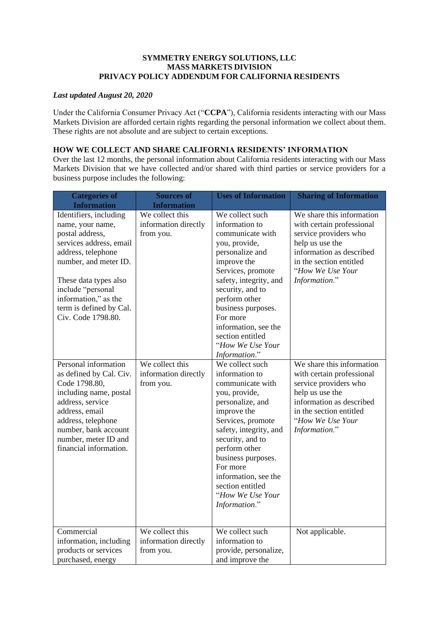### **SYMMETRY ENERGY SOLUTIONS, LLC MASS MARKETS DIVISION PRIVACY POLICY ADDENDUM FOR CALIFORNIA RESIDENTS**

### *Last updated August 20, 2020*

Under the California Consumer Privacy Act ("**CCPA**"), California residents interacting with our Mass Markets Division are afforded certain rights regarding the personal information we collect about them. These rights are not absolute and are subject to certain exceptions.

## **HOW WE COLLECT AND SHARE CALIFORNIA RESIDENTS' INFORMATION**

Over the last 12 months, the personal information about California residents interacting with our Mass Markets Division that we have collected and/or shared with third parties or service providers for a business purpose includes the following:

| <b>Categories of</b><br><b>Information</b>                                                                                                                                                                                                                     | <b>Sources of</b><br><b>Information</b>              | <b>Uses of Information</b>                                                                                                                                                                                                                                                                                       | <b>Sharing of Information</b>                                                                                                                                                                  |
|----------------------------------------------------------------------------------------------------------------------------------------------------------------------------------------------------------------------------------------------------------------|------------------------------------------------------|------------------------------------------------------------------------------------------------------------------------------------------------------------------------------------------------------------------------------------------------------------------------------------------------------------------|------------------------------------------------------------------------------------------------------------------------------------------------------------------------------------------------|
| Identifiers, including<br>name, your name,<br>postal address,<br>services address, email<br>address, telephone<br>number, and meter ID.<br>These data types also<br>include "personal<br>information," as the<br>term is defined by Cal.<br>Civ. Code 1798.80. | We collect this<br>information directly<br>from you. | We collect such<br>information to<br>communicate with<br>you, provide,<br>personalize and<br>improve the<br>Services, promote<br>safety, integrity, and<br>security, and to<br>perform other<br>business purposes.<br>For more<br>information, see the<br>section entitled<br>"How We Use Your<br>Information."  | We share this information<br>with certain professional<br>service providers who<br>help us use the<br>information as described<br>in the section entitled<br>"How We Use Your<br>Information." |
| Personal information<br>as defined by Cal. Civ.<br>Code 1798.80,<br>including name, postal<br>address, service<br>address, email<br>address, telephone<br>number, bank account<br>number, meter ID and<br>financial information.                               | We collect this<br>information directly<br>from you. | We collect such<br>information to<br>communicate with<br>you, provide,<br>personalize, and<br>improve the<br>Services, promote<br>safety, integrity, and<br>security, and to<br>perform other<br>business purposes.<br>For more<br>information, see the<br>section entitled<br>"How We Use Your<br>Information." | We share this information<br>with certain professional<br>service providers who<br>help us use the<br>information as described<br>in the section entitled<br>"How We Use Your<br>Information." |
| Commercial<br>information, including<br>products or services<br>purchased, energy                                                                                                                                                                              | We collect this<br>information directly<br>from you. | We collect such<br>information to<br>provide, personalize,<br>and improve the                                                                                                                                                                                                                                    | Not applicable.                                                                                                                                                                                |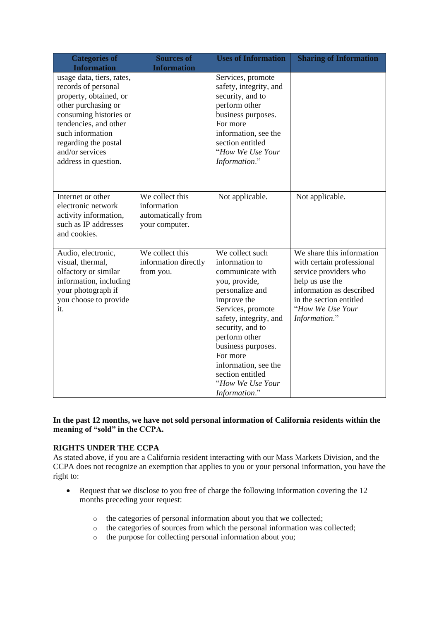| <b>Categories of</b><br><b>Information</b>                                                                                                                                                                                                  | <b>Sources of</b><br><b>Information</b>                                | <b>Uses of Information</b>                                                                                                                                                                                                                                                                                      | <b>Sharing of Information</b>                                                                                                                                                                              |
|---------------------------------------------------------------------------------------------------------------------------------------------------------------------------------------------------------------------------------------------|------------------------------------------------------------------------|-----------------------------------------------------------------------------------------------------------------------------------------------------------------------------------------------------------------------------------------------------------------------------------------------------------------|------------------------------------------------------------------------------------------------------------------------------------------------------------------------------------------------------------|
| usage data, tiers, rates,<br>records of personal<br>property, obtained, or<br>other purchasing or<br>consuming histories or<br>tendencies, and other<br>such information<br>regarding the postal<br>and/or services<br>address in question. |                                                                        | Services, promote<br>safety, integrity, and<br>security, and to<br>perform other<br>business purposes.<br>For more<br>information, see the<br>section entitled<br>"How We Use Your<br>Information."                                                                                                             |                                                                                                                                                                                                            |
| Internet or other<br>electronic network<br>activity information,<br>such as IP addresses<br>and cookies.                                                                                                                                    | We collect this<br>information<br>automatically from<br>your computer. | Not applicable.                                                                                                                                                                                                                                                                                                 | Not applicable.                                                                                                                                                                                            |
| Audio, electronic,<br>visual, thermal,<br>olfactory or similar<br>information, including<br>your photograph if<br>you choose to provide<br>it.                                                                                              | We collect this<br>information directly<br>from you.                   | We collect such<br>information to<br>communicate with<br>you, provide,<br>personalize and<br>improve the<br>Services, promote<br>safety, integrity, and<br>security, and to<br>perform other<br>business purposes.<br>For more<br>information, see the<br>section entitled<br>"How We Use Your<br>Information." | $\overline{W}$ share this information<br>with certain professional<br>service providers who<br>help us use the<br>information as described<br>in the section entitled<br>"How We Use Your<br>Information." |

### **In the past 12 months, we have not sold personal information of California residents within the meaning of "sold" in the CCPA.**

# **RIGHTS UNDER THE CCPA**

As stated above, if you are a California resident interacting with our Mass Markets Division, and the CCPA does not recognize an exemption that applies to you or your personal information, you have the right to:

- Request that we disclose to you free of charge the following information covering the 12 months preceding your request:
	- o the categories of personal information about you that we collected;
	- o the categories of sources from which the personal information was collected;
	- o the purpose for collecting personal information about you;